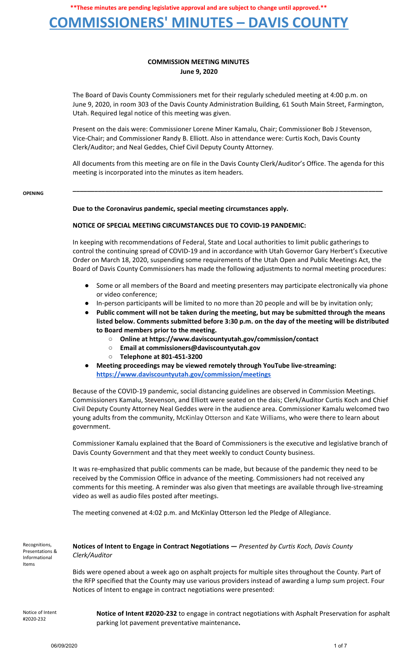### **COMMISSIONERS' MINUTES – DAVIS COUNTY**

### **COMMISSION MEETING MINUTES June 9, 2020**

The Board of Davis County Commissioners met for their regularly scheduled meeting at 4:00 p.m. on June 9, 2020, in room 303 of the Davis County Administration Building, 61 South Main Street, Farmington, Utah. Required legal notice of this meeting was given.

Present on the dais were: Commissioner Lorene Miner Kamalu, Chair; Commissioner Bob J Stevenson, Vice-Chair; and Commissioner Randy B. Elliott. Also in attendance were: Curtis Koch, Davis County Clerk/Auditor; and Neal Geddes, Chief Civil Deputy County Attorney.

All documents from this meeting are on file in the Davis County Clerk/Auditor's Office. The agenda for this meeting is incorporated into the minutes as item headers.

**\_\_\_\_\_\_\_\_\_\_\_\_\_\_\_\_\_\_\_\_\_\_\_\_\_\_\_\_\_\_\_\_\_\_\_\_\_\_\_\_\_\_\_\_\_\_\_\_\_\_\_\_\_\_\_\_\_\_\_\_\_\_\_\_\_\_\_\_\_\_\_\_\_\_\_\_\_\_\_\_\_\_\_\_\_\_**

**OPENING**

#### **Due to the Coronavirus pandemic, special meeting circumstances apply.**

#### **NOTICE OF SPECIAL MEETING CIRCUMSTANCES DUE TO COVID-19 PANDEMIC:**

In keeping with recommendations of Federal, State and Local authorities to limit public gatherings to control the continuing spread of COVID-19 and in accordance with Utah Governor Gary Herbert's Executive Order on March 18, 2020, suspending some requirements of the Utah Open and Public Meetings Act, the Board of Davis County Commissioners has made the following adjustments to normal meeting procedures:

- Some or all members of the Board and meeting presenters may participate electronically via phone or video conference;
- In-person participants will be limited to no more than 20 people and will be by invitation only;
- **● Public comment will not be taken during the meeting, but may be submitted through the means listed below. Comments submitted before 3:30 p.m. on the day of the meeting will be distributed to Board members prior to the meeting.**
	- **○ Online at https://www.daviscountyutah.gov/commission/contact**
	- **○ Email at commissioners@daviscountyutah.gov**
	- **○ Telephone at 801-451-3200**
- **● Meeting proceedings may be viewed remotely through YouTube live-streaming: https://www.daviscountyutah.gov/commission/meetings**

Because of the COVID-19 pandemic, social distancing guidelines are observed in Commission Meetings. Commissioners Kamalu, Stevenson, and Elliott were seated on the dais; Clerk/Auditor Curtis Koch and Chief Civil Deputy County Attorney Neal Geddes were in the audience area. Commissioner Kamalu welcomed two young adults from the community, McKinlay Otterson and Kate Williams, who were there to learn about government.

Commissioner Kamalu explained that the Board of Commissioners is the executive and legislative branch of Davis County Government and that they meet weekly to conduct County business.

It was re-emphasized that public comments can be made, but because of the pandemic they need to be received by the Commission Office in advance of the meeting. Commissioners had not received any comments for this meeting. A reminder was also given that meetings are available through live-streaming video as well as audio files posted after meetings.

The meeting convened at 4:02 p.m. and McKinlay Otterson led the Pledge of Allegiance.

Recognitions, Presentations & Informational Items

**Notices of Intent to Engage in Contract Negotiations —** *Presented by Curtis Koch, Davis County Clerk/Auditor*

Bids were opened about a week ago on asphalt projects for multiple sites throughout the County. Part of the RFP specified that the County may use various providers instead of awarding a lump sum project. Four Notices of Intent to engage in contract negotiations were presented:

Notice of Intent #2020-232

**Notice of Intent #2020-232** to engage in contract negotiations with Asphalt Preservation for asphalt parking lot pavement preventative maintenance**.**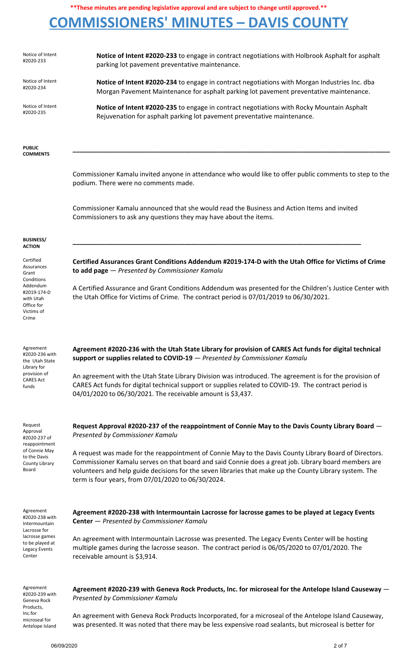# **COMMISSIONERS' MINUTES – DAVIS COUNTY**

| Notice of Intent<br>#2020-233                                                           | Notice of Intent #2020-233 to engage in contract negotiations with Holbrook Asphalt for asphalt<br>parking lot pavement preventative maintenance.                                                                                                                                                                                                                               |
|-----------------------------------------------------------------------------------------|---------------------------------------------------------------------------------------------------------------------------------------------------------------------------------------------------------------------------------------------------------------------------------------------------------------------------------------------------------------------------------|
| Notice of Intent<br>#2020-234                                                           | Notice of Intent #2020-234 to engage in contract negotiations with Morgan Industries Inc. dba<br>Morgan Pavement Maintenance for asphalt parking lot pavement preventative maintenance.                                                                                                                                                                                         |
| Notice of Intent<br>#2020-235                                                           | Notice of Intent #2020-235 to engage in contract negotiations with Rocky Mountain Asphalt<br>Rejuvenation for asphalt parking lot pavement preventative maintenance.                                                                                                                                                                                                            |
| <b>PUBLIC</b><br><b>COMMENTS</b>                                                        |                                                                                                                                                                                                                                                                                                                                                                                 |
|                                                                                         | Commissioner Kamalu invited anyone in attendance who would like to offer public comments to step to the<br>podium. There were no comments made.                                                                                                                                                                                                                                 |
|                                                                                         | Commissioner Kamalu announced that she would read the Business and Action Items and invited<br>Commissioners to ask any questions they may have about the items.                                                                                                                                                                                                                |
| <b>BUSINESS/</b><br><b>ACTION</b>                                                       |                                                                                                                                                                                                                                                                                                                                                                                 |
| Certified<br>Assurances<br>Grant                                                        | Certified Assurances Grant Conditions Addendum #2019-174-D with the Utah Office for Victims of Crime<br>to add page - Presented by Commissioner Kamalu                                                                                                                                                                                                                          |
| Conditions<br>Addendum<br>#2019-174-D<br>with Utah<br>Office for<br>Victims of<br>Crime | A Certified Assurance and Grant Conditions Addendum was presented for the Children's Justice Center with<br>the Utah Office for Victims of Crime. The contract period is 07/01/2019 to 06/30/2021.                                                                                                                                                                              |
| Agreement<br>#2020-236 with<br>the Utah State                                           | Agreement #2020-236 with the Utah State Library for provision of CARES Act funds for digital technical<br>support or supplies related to COVID-19 - Presented by Commissioner Kamalu                                                                                                                                                                                            |
| Library for<br>provision of<br><b>CARES Act</b><br>funds                                | An agreement with the Utah State Library Division was introduced. The agreement is for the provision of<br>CARES Act funds for digital technical support or supplies related to COVID-19. The contract period is<br>04/01/2020 to 06/30/2021. The receivable amount is \$3,437.                                                                                                 |
| Request<br>Approval<br>#2020-237 of                                                     | Request Approval #2020-237 of the reappointment of Connie May to the Davis County Library Board –<br>Presented by Commissioner Kamalu                                                                                                                                                                                                                                           |
| reappointment<br>of Connie May<br>to the Davis<br>County Library<br>Board               | A request was made for the reappointment of Connie May to the Davis County Library Board of Directors.<br>Commissioner Kamalu serves on that board and said Connie does a great job. Library board members are<br>volunteers and help guide decisions for the seven libraries that make up the County Library system. The<br>term is four years, from 07/01/2020 to 06/30/2024. |
| Agreement<br>#2020-238 with<br>Intermountain<br>Lacrosse for                            | Agreement #2020-238 with Intermountain Lacrosse for lacrosse games to be played at Legacy Events<br><b>Center</b> - Presented by Commissioner Kamalu                                                                                                                                                                                                                            |
| lacrosse games<br>to be played at<br>Legacy Events<br>Center                            | An agreement with Intermountain Lacrosse was presented. The Legacy Events Center will be hosting<br>multiple games during the lacrosse season. The contract period is 06/05/2020 to 07/01/2020. The<br>receivable amount is \$3,914.                                                                                                                                            |
| Agreement<br>#2020-239 with<br>Geneva Rock<br>Products,                                 | Agreement #2020-239 with Geneva Rock Products, Inc. for microseal for the Antelope Island Causeway -<br>Presented by Commissioner Kamalu                                                                                                                                                                                                                                        |
| Inc.for<br>microseal for<br>Antelope Island                                             | An agreement with Geneva Rock Products Incorporated, for a microseal of the Antelope Island Causeway,<br>was presented. It was noted that there may be less expensive road sealants, but microseal is better for                                                                                                                                                                |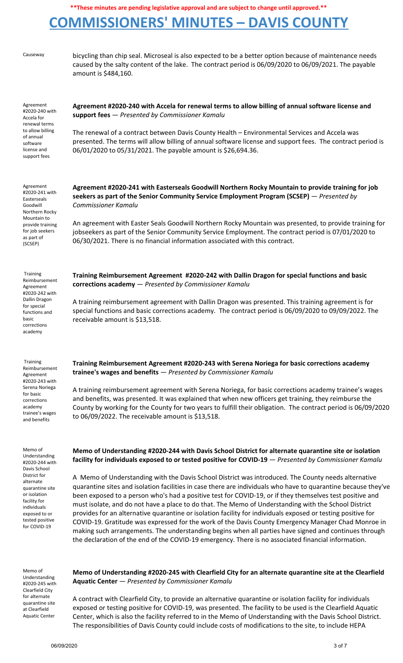## **COMMISSIONERS' MINUTES – DAVIS COUNTY**

Causeway bicycling than chip seal. Microseal is also expected to be a better option because of maintenance needs caused by the salty content of the lake. The contract period is 06/09/2020 to 06/09/2021. The payable amount is \$484,160.

Agreement #2020-240 with Accela for renewal terms to allow billing of annual software license and support fees

**Agreement #2020-240 with Accela for renewal terms to allow billing of annual software license and support fees** — *Presented by Commissioner Kamalu*

The renewal of a contract between Davis County Health – Environmental Services and Accela was presented. The terms will allow billing of annual software license and support fees. The contract period is 06/01/2020 to 05/31/2021. The payable amount is \$26,694.36.

Agreement #2020-241 with Easterseals Goodwill Northern Rocky Mountain to provide training for job seekers as part of (SCSEP)

Training Reimbursement Agreement #2020-242 with Dallin Dragon for special functions and basic corrections academy

**Agreement #2020-241 with Easterseals Goodwill Northern Rocky Mountain to provide training for job seekers as part of the Senior Community Service Employment Program (SCSEP)** — *Presented by Commissioner Kamalu*

An agreement with Easter Seals Goodwill Northern Rocky Mountain was presented, to provide training for jobseekers as part of the Senior Community Service Employment. The contract period is 07/01/2020 to 06/30/2021. There is no financial information associated with this contract.

**Training Reimbursement Agreement #2020-242 with Dallin Dragon for special functions and basic corrections academy** — *Presented by Commissioner Kamalu*

A training reimbursement agreement with Dallin Dragon was presented. This training agreement is for special functions and basic corrections academy. The contract period is 06/09/2020 to 09/09/2022. The receivable amount is \$13,518.

Training Reimbursement Agreement #2020-243 with Serena Noriega for basic corrections academy trainee's wages and benefits

Memo of Understanding #2020-244 with Davis School District for alternate quarantine site or isolation facility for individuals exposed to or tested positive for COVID-19

**Training Reimbursement Agreement #2020-243 with Serena Noriega for basic corrections academy trainee's wages and benefits** — *Presented by Commissioner Kamalu*

A training reimbursement agreement with Serena Noriega, for basic corrections academy trainee's wages and benefits, was presented. It was explained that when new officers get training, they reimburse the County by working for the County for two years to fulfill their obligation. The contract period is 06/09/2020 to 06/09/2022. The receivable amount is \$13,518.

Memo of Understanding #2020-245 with Clearfield City for alternate quarantine site at Clearfield Aquatic Center

#### **Memo of Understanding #2020-244 with Davis School District for alternate quarantine site or isolation facility for individuals exposed to or tested positive for COVID-19** — *Presented by Commissioner Kamalu*

A Memo of Understanding with the Davis School District was introduced. The County needs alternative quarantine sites and isolation facilities in case there are individuals who have to quarantine because they've been exposed to a person who's had a positive test for COVID-19, or if they themselves test positive and must isolate, and do not have a place to do that. The Memo of Understanding with the School District provides for an alternative quarantine or isolation facility for individuals exposed or testing positive for COVID-19. Gratitude was expressed for the work of the Davis County Emergency Manager Chad Monroe in making such arrangements. The understanding begins when all parties have signed and continues through the declaration of the end of the COVID-19 emergency. There is no associated financial information.

**Memo of Understanding #2020-245 with Clearfield City for an alternate quarantine site at the Clearfield Aquatic Center** — *Presented by Commissioner Kamalu*

A contract with Clearfield City, to provide an alternative quarantine or isolation facility for individuals exposed or testing positive for COVID-19, was presented. The facility to be used is the Clearfield Aquatic Center, which is also the facility referred to in the Memo of Understanding with the Davis School District. The responsibilities of Davis County could include costs of modifications to the site, to include HEPA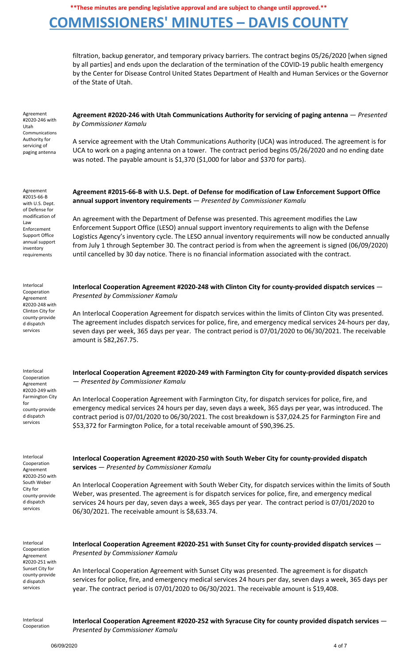## **COMMISSIONERS' MINUTES – DAVIS COUNTY**

filtration, backup generator, and temporary privacy barriers. The contract begins 05/26/2020 [when signed by all parties] and ends upon the declaration of the termination of the COVID-19 public health emergency by the Center for Disease Control United States Department of Health and Human Services or the Governor of the State of Utah.

Agreement #2020-246 with Utah Communications Authority for servicing of paging antenna

Agreement #2015-66-B with U.S. Dept. of Defense for modification of

Law Enforcement Support Office annual support inventory requirements

Interlocal Cooperation Agreement #2020-248 with Clinton City for county-provide d dispatch services

Interlocal Cooperation Agreement #2020-249 with Farmington City

county-provide d dispatch services

Interlocal Cooperation Agreement #2020-250 with South Weber City for county-provide d dispatch services

for

**Agreement #2020-246 with Utah Communications Authority for servicing of paging antenna** — *Presented by Commissioner Kamalu*

A service agreement with the Utah Communications Authority (UCA) was introduced. The agreement is for UCA to work on a paging antenna on a tower. The contract period begins 05/26/2020 and no ending date was noted. The payable amount is \$1,370 (\$1,000 for labor and \$370 for parts).

**Agreement #2015-66-B with U.S. Dept. of Defense for modification of Law Enforcement Support Office annual support inventory requirements** — *Presented by Commissioner Kamalu*

An agreement with the Department of Defense was presented. This agreement modifies the Law Enforcement Support Office (LESO) annual support inventory requirements to align with the Defense Logistics Agency's inventory cycle. The LESO annual inventory requirements will now be conducted annually from July 1 through September 30. The contract period is from when the agreement is signed (06/09/2020) until cancelled by 30 day notice. There is no financial information associated with the contract.

**Interlocal Cooperation Agreement #2020-248 with Clinton City for county-provided dispatch services** — *Presented by Commissioner Kamalu*

An Interlocal Cooperation Agreement for dispatch services within the limits of Clinton City was presented. The agreement includes dispatch services for police, fire, and emergency medical services 24-hours per day, seven days per week, 365 days per year. The contract period is 07/01/2020 to 06/30/2021. The receivable amount is \$82,267.75.

**Interlocal Cooperation Agreement #2020-249 with Farmington City for county-provided dispatch services** — *Presented by Commissioner Kamalu*

An Interlocal Cooperation Agreement with Farmington City, for dispatch services for police, fire, and emergency medical services 24 hours per day, seven days a week, 365 days per year, was introduced. The contract period is 07/01/2020 to 06/30/2021. The cost breakdown is \$37,024.25 for Farmington Fire and \$53,372 for Farmington Police, for a total receivable amount of \$90,396.25.

**Interlocal Cooperation Agreement #2020-250 with South Weber City for county-provided dispatch services** — *Presented by Commissioner Kamalu*

An Interlocal Cooperation Agreement with South Weber City, for dispatch services within the limits of South Weber, was presented. The agreement is for dispatch services for police, fire, and emergency medical services 24 hours per day, seven days a week, 365 days per year. The contract period is 07/01/2020 to 06/30/2021. The receivable amount is \$8,633.74.

| Interlocal      |
|-----------------|
| Cooperation     |
| Agreement       |
| #2020-251 with  |
| Sunset City for |
| county-provide  |
| d dispatch      |
| services        |

**Interlocal Cooperation Agreement #2020-251 with Sunset City for county-provided dispatch services** — *Presented by Commissioner Kamalu*

An Interlocal Cooperation Agreement with Sunset City was presented. The agreement is for dispatch services for police, fire, and emergency medical services 24 hours per day, seven days a week, 365 days per year. The contract period is 07/01/2020 to 06/30/2021. The receivable amount is \$19,408.

Interlocal Cooperation **Interlocal Cooperation Agreement #2020-252 with Syracuse City for county provided dispatch services** — *Presented by Commissioner Kamalu*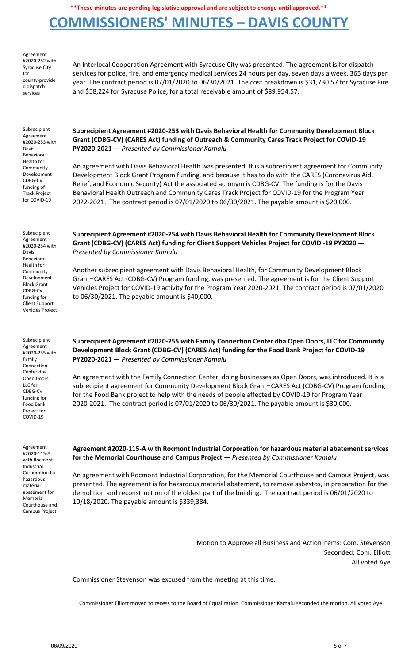### **COMMISSIONERS' MINUTES – DAVIS COUNTY**

Agreement #2020-252 with Syracuse City for county-provide d dispatch services

An Interlocal Cooperation Agreement with Syracuse City was presented. The agreement is for dispatch services for police, fire, and emergency medical services 24 hours per day, seven days a week, 365 days per year. The contract period is 07/01/2020 to 06/30/2021. The cost breakdown is \$31,730.57 for Syracuse Fire and \$58,224 for Syracuse Police, for a total receivable amount of \$89,954.57.

Subrecipient Agreement #2020-253 with Davis Behavioral Health for **Community** Development CDBG-CV funding of Track Project for COVID-19

**Subrecipient Agreement #2020-253 with Davis Behavioral Health for Community Development Block Grant (CDBG-CV) (CARES Act) funding of Outreach & Community Cares Track Project for COVID-19 PY2020-2021** — *Presented by Commissioner Kamalu*

An agreement with Davis Behavioral Health was presented. It is a subrecipient agreement for Community Development Block Grant Program funding, and because it has to do with the CARES (Coronavirus Aid, Relief, and Economic Security) Act the associated acronym is CDBG-CV. The funding is for the Davis Behavioral Health Outreach and Community Cares Track Project for COVID-19 for the Program Year 2022-2021. The contract period is 07/01/2020 to 06/30/2021. The payable amount is \$20,000.

Subrecipient Agreement #2020-254 with Davis Behavioral Health for **Community** Development Block Grant CDBG-CV funding for Client Support Vehicles Project

Subrecipient Agreement #2020-255 with Family Connection Center dba Open Doors, LLC for CDBG-CV funding for Food Bank Project for COVID-19

**Subrecipient Agreement #2020-254 with Davis Behavioral Health for Community Development Block Grant (CDBG-CV) (CARES Act) funding for Client Support Vehicles Project for COVID -19 PY2020** — *Presented by Commissioner Kamalu*

Another subrecipient agreement with Davis Behavioral Health, for Community Development Block Grant–CARES Act (CDBG-CV) Program funding, was presented. The agreement is for the Client Support Vehicles Project for COVID-19 activity for the Program Year 2020-2021. The contract period is 07/01/2020 to 06/30/2021. The payable amount is \$40,000.

**Subrecipient Agreement #2020-255 with Family Connection Center dba Open Doors, LLC for Community Development Block Grant (CDBG-CV) (CARES Act) funding for the Food Bank Project for COVID-19 PY2020-2021** — *Presented by Commissioner Kamalu*

An agreement with the Family Connection Center, doing businesses as Open Doors, was introduced. It is a subrecipient agreement for Community Development Block Grant–CARES Act (CDBG-CV) Program funding for the Food Bank project to help with the needs of people affected by COVID-19 for Program Year 2020-2021. The contract period is 07/01/2020 to 06/30/2021. The payable amount is \$30,000.

Agreement #2020-115-A with Rocmont Industrial Corporation for hazardous material abatement for Memorial Courthouse and Campus Project

**Agreement #2020-115-A with Rocmont Industrial Corporation for hazardous material abatement services for the Memorial Courthouse and Campus Project** — *Presented by Commissioner Kamalu*

An agreement with Rocmont Industrial Corporation, for the Memorial Courthouse and Campus Project, was presented. The agreement is for hazardous material abatement, to remove asbestos, in preparation for the demolition and reconstruction of the oldest part of the building. The contract period is 06/01/2020 to 10/18/2020. The payable amount is \$339,384.

> Motion to Approve all Business and Action Items: Com. Stevenson Seconded: Com. Elliott All voted Aye

Commissioner Stevenson was excused from the meeting at this time.

Commissioner Elliott moved to recess to the Board of Equalization. Commissioner Kamalu seconded the motion. All voted Aye.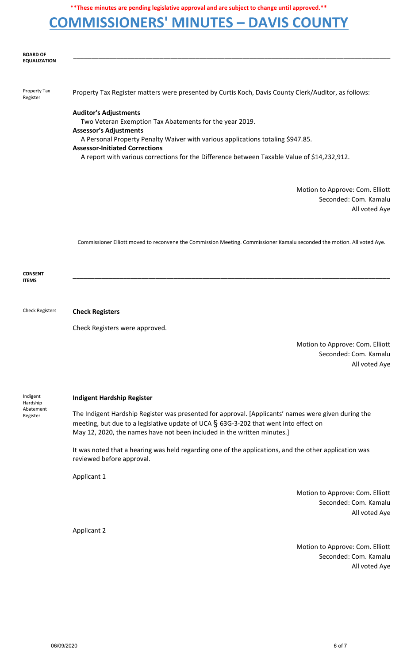## **COMMISSIONERS' MINUTES – DAVIS COUNTY**

|                                               | .<br>_ _ _ _ _                                                                                                                                                                                                                                                            |
|-----------------------------------------------|---------------------------------------------------------------------------------------------------------------------------------------------------------------------------------------------------------------------------------------------------------------------------|
|                                               |                                                                                                                                                                                                                                                                           |
| <b>BOARD OF</b><br><b>EQUALIZATION</b>        |                                                                                                                                                                                                                                                                           |
|                                               |                                                                                                                                                                                                                                                                           |
| Property Tax<br>Register                      | Property Tax Register matters were presented by Curtis Koch, Davis County Clerk/Auditor, as follows:                                                                                                                                                                      |
|                                               | <b>Auditor's Adjustments</b>                                                                                                                                                                                                                                              |
|                                               | Two Veteran Exemption Tax Abatements for the year 2019.                                                                                                                                                                                                                   |
|                                               | <b>Assessor's Adjustments</b><br>A Personal Property Penalty Waiver with various applications totaling \$947.85.                                                                                                                                                          |
|                                               | <b>Assessor-Initiated Corrections</b>                                                                                                                                                                                                                                     |
|                                               | A report with various corrections for the Difference between Taxable Value of \$14,232,912.                                                                                                                                                                               |
|                                               |                                                                                                                                                                                                                                                                           |
|                                               | Motion to Approve: Com. Elliott                                                                                                                                                                                                                                           |
|                                               | Seconded: Com. Kamalu<br>All voted Aye                                                                                                                                                                                                                                    |
|                                               |                                                                                                                                                                                                                                                                           |
|                                               |                                                                                                                                                                                                                                                                           |
|                                               | Commissioner Elliott moved to reconvene the Commission Meeting. Commissioner Kamalu seconded the motion. All voted Aye.                                                                                                                                                   |
|                                               |                                                                                                                                                                                                                                                                           |
| <b>CONSENT</b><br><b>ITEMS</b>                |                                                                                                                                                                                                                                                                           |
|                                               |                                                                                                                                                                                                                                                                           |
|                                               |                                                                                                                                                                                                                                                                           |
| <b>Check Registers</b>                        | <b>Check Registers</b>                                                                                                                                                                                                                                                    |
|                                               | Check Registers were approved.                                                                                                                                                                                                                                            |
|                                               | Motion to Approve: Com. Elliott                                                                                                                                                                                                                                           |
|                                               | Seconded: Com. Kamalu                                                                                                                                                                                                                                                     |
|                                               | All voted Aye                                                                                                                                                                                                                                                             |
|                                               |                                                                                                                                                                                                                                                                           |
| Indigent<br>Hardship<br>Abatement<br>Register | <b>Indigent Hardship Register</b>                                                                                                                                                                                                                                         |
|                                               | The Indigent Hardship Register was presented for approval. [Applicants' names were given during the<br>meeting, but due to a legislative update of UCA $\S$ 63G-3-202 that went into effect on<br>May 12, 2020, the names have not been included in the written minutes.] |
|                                               | It was noted that a hearing was held regarding one of the applications, and the other application was<br>reviewed before approval.                                                                                                                                        |
|                                               | Applicant 1                                                                                                                                                                                                                                                               |
|                                               | Motion to Approve: Com. Elliott                                                                                                                                                                                                                                           |
|                                               | Seconded: Com. Kamalu                                                                                                                                                                                                                                                     |
|                                               | All voted Aye                                                                                                                                                                                                                                                             |
|                                               | <b>Applicant 2</b>                                                                                                                                                                                                                                                        |
|                                               | Motion to Approve: Com. Elliott                                                                                                                                                                                                                                           |
|                                               |                                                                                                                                                                                                                                                                           |

Seconded: Com. Kamalu All voted Aye